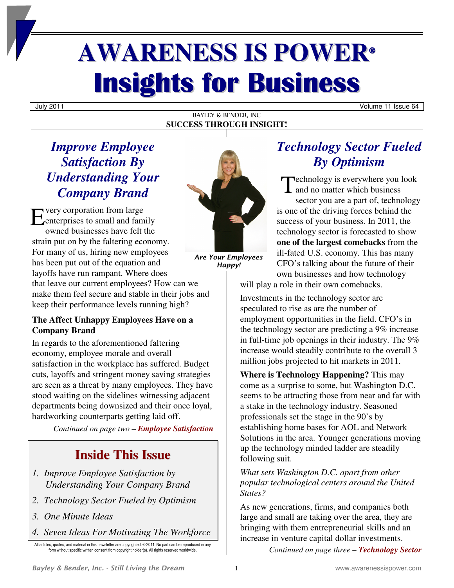# **AWARENESS IS POWER® Insights for Business**

July 2011 Volume 11 Issue 64

#### BAYLEY & BENDER, INC **SUCCESS THROUGH INSIGHT!**

# *Improve Employee Satisfaction By Understanding Your Company Brand*

very corporation from large Every corporation from large<br>
enterprises to small and family<br>
enterprises to small and family owned businesses have felt the strain put on by the faltering economy. For many of us, hiring new employees has been put out of the equation and layoffs have run rampant. Where does that leave our current employees? How can we make them feel secure and stable in their jobs and keep their performance levels running high?

## **The Affect Unhappy Employees Have on a Company Brand**

In regards to the aforementioned faltering economy, employee morale and overall satisfaction in the workplace has suffered. Budget cuts, layoffs and stringent money saving strategies are seen as a threat by many employees. They have stood waiting on the sidelines witnessing adjacent departments being downsized and their once loyal, hardworking counterparts getting laid off.

*Continued on page two – Employee Satisfaction*

# **Inside This Issue**

- *1. Improve Employee Satisfaction by Understanding Your Company Brand*
- *2. Technology Sector Fueled by Optimism*
- *3. One Minute Ideas*
- *4. Seven Ideas For Motivating The Workforce*

All articles, quotes, and material in this newsletter are copyrighted. © 2011. No part can be reproduced in any form without specific written consent from copyright holder(s). All rights reserved worldwide.



*Are Your Employees Happy!* 

# *Technology Sector Fueled By Optimism*

**Proposed Example 20** Fechnology is everywhere you look Technology is everywhere you I<br>and no matter which business sector you are a part of, technology is one of the driving forces behind the success of your business. In 2011, the technology sector is forecasted to show **one of the largest comebacks** from the ill-fated U.S. economy. This has many CFO's talking about the future of their own businesses and how technology

will play a role in their own comebacks.

Investments in the technology sector are speculated to rise as are the number of employment opportunities in the field. CFO's in the technology sector are predicting a 9% increase in full-time job openings in their industry. The 9% increase would steadily contribute to the overall 3 million jobs projected to hit markets in 2011.

**Where is Technology Happening?** This may come as a surprise to some, but Washington D.C. seems to be attracting those from near and far with a stake in the technology industry. Seasoned professionals set the stage in the 90's by establishing home bases for AOL and Network Solutions in the area. Younger generations moving up the technology minded ladder are steadily following suit.

*What sets Washington D.C. apart from other popular technological centers around the United States?* 

As new generations, firms, and companies both large and small are taking over the area, they are bringing with them entrepreneurial skills and an increase in venture capital dollar investments.

*Continued on page three – Technology Sector*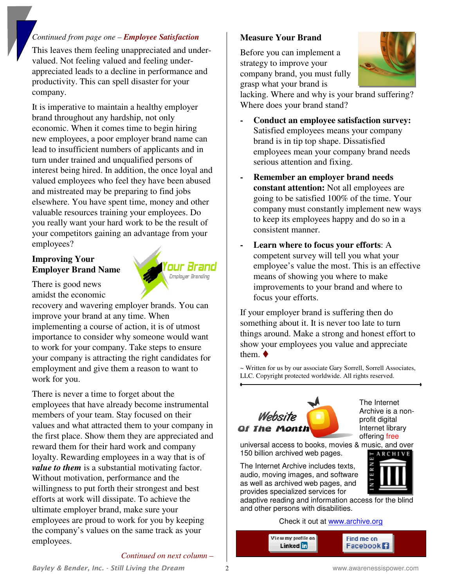#### *Continued from page one – Employee Satisfaction*

This leaves them feeling unappreciated and undervalued. Not feeling valued and feeling underappreciated leads to a decline in performance and productivity. This can spell disaster for your company.

It is imperative to maintain a healthy employer brand throughout any hardship, not only economic. When it comes time to begin hiring new employees, a poor employer brand name can lead to insufficient numbers of applicants and in turn under trained and unqualified persons of interest being hired. In addition, the once loyal and valued employees who feel they have been abused and mistreated may be preparing to find jobs elsewhere. You have spent time, money and other valuable resources training your employees. Do you really want your hard work to be the result of your competitors gaining an advantage from your employees?

## **Improving Your Employer Brand Name**

There is good news amidst the economic

recovery and wavering employer brands. You can improve your brand at any time. When implementing a course of action, it is of utmost importance to consider why someone would want to work for your company. Take steps to ensure your company is attracting the right candidates for employment and give them a reason to want to work for you.

There is never a time to forget about the employees that have already become instrumental members of your team. Stay focused on their values and what attracted them to your company in the first place. Show them they are appreciated and reward them for their hard work and company loyalty. Rewarding employees in a way that is of *value to them* is a substantial motivating factor. Without motivation, performance and the willingness to put forth their strongest and best efforts at work will dissipate. To achieve the ultimate employer brand, make sure your employees are proud to work for you by keeping the company's values on the same track as your employees.

#### **Measure Your Brand**

Before you can implement a strategy to improve your company brand, you must fully grasp what your brand is



lacking. Where and why is your brand suffering? Where does your brand stand?

- **- Conduct an employee satisfaction survey:**  Satisfied employees means your company brand is in tip top shape. Dissatisfied employees mean your company brand needs serious attention and fixing.
- **- Remember an employer brand needs constant attention:** Not all employees are going to be satisfied 100% of the time. Your company must constantly implement new ways to keep its employees happy and do so in a consistent manner.
- **- Learn where to focus your efforts**: A competent survey will tell you what your employee's value the most. This is an effective means of showing you where to make improvements to your brand and where to focus your efforts.

If your employer brand is suffering then do something about it. It is never too late to turn things around. Make a strong and honest effort to show your employees you value and appreciate them.  $\blacklozenge$ 

~ Written for us by our associate Gary Sorrell, Sorrell Associates, LLC. Copyright protected worldwide. All rights reserved.



The Internet Archive is a nonprofit digital Internet library offering free

universal access to books, movies & music, and over 150 billion archived web pages.

The Internet Archive includes texts, audio, moving images, and software as well as archived web pages, and provides specialized services for



adaptive reading and information access for the blind and other persons with disabilities.

#### Check it out at www.archive.org

| View my profile on | Find me on      |  |
|--------------------|-----------------|--|
| Linked <b>in</b>   | <b>Facebook</b> |  |
|                    |                 |  |

*Continued on next column –* 

our Brand Employer Branding

*Bayley & Bender, Inc. - Still Living the Dream* 2 www.awarenessispower.com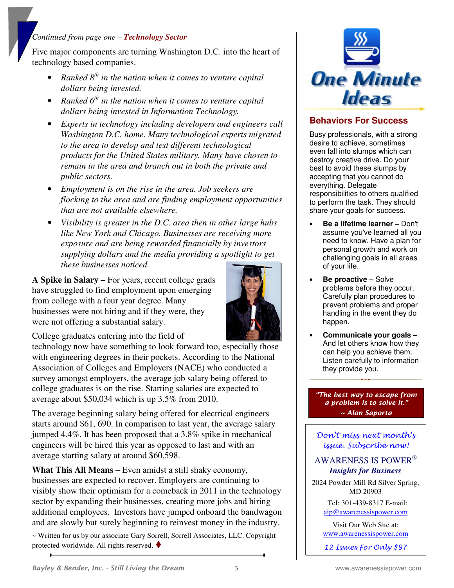### *Continued from page one – Technology Sector*

Five major components are turning Washington D.C. into the heart of technology based companies.

- *Ranked 8th in the nation when it comes to venture capital dollars being invested.*
- *Ranked 6th in the nation when it comes to venture capital dollars being invested in Information Technology.*
- *Experts in technology including developers and engineers call Washington D.C. home. Many technological experts migrated to the area to develop and test different technological products for the United States military. Many have chosen to remain in the area and branch out in both the private and public sectors.*
- *Employment is on the rise in the area. Job seekers are flocking to the area and are finding employment opportunities that are not available elsewhere.*
- *Visibility is greater in the D.C. area then in other large hubs like New York and Chicago. Businesses are receiving more exposure and are being rewarded financially by investors supplying dollars and the media providing a spotlight to get these businesses noticed.*

**A Spike in Salary –** For years, recent college grads have struggled to find employment upon emerging from college with a four year degree. Many businesses were not hiring and if they were, they were not offering a substantial salary.



College graduates entering into the field of

technology now have something to look forward too, especially those with engineering degrees in their pockets. According to the National Association of Colleges and Employers (NACE) who conducted a survey amongst employers, the average job salary being offered to college graduates is on the rise. Starting salaries are expected to average about \$50,034 which is up 3.5% from 2010.

The average beginning salary being offered for electrical engineers starts around \$61, 690. In comparison to last year, the average salary jumped 4.4%. It has been proposed that a 3.8% spike in mechanical engineers will be hired this year as opposed to last and with an average starting salary at around \$60,598.

**What This All Means –** Even amidst a still shaky economy, businesses are expected to recover. Employers are continuing to visibly show their optimism for a comeback in 2011 in the technology sector by expanding their businesses, creating more jobs and hiring additional employees. Investors have jumped onboard the bandwagon and are slowly but surely beginning to reinvest money in the industry.

~ Written for us by our associate Gary Sorrell, Sorrell Associates, LLC. Copyright protected worldwide. All rights reserved.



## **Behaviors For Success**

Busy professionals, with a strong desire to achieve, sometimes even fall into slumps which can destroy creative drive. Do your best to avoid these slumps by accepting that you cannot do everything. Delegate responsibilities to others qualified to perform the task. They should share your goals for success.

- **Be a lifetime learner –** Don't assume you've learned all you need to know. Have a plan for personal growth and work on challenging goals in all areas of your life.
- **Be proactive –** Solve problems before they occur. Carefully plan procedures to prevent problems and proper handling in the event they do happen.
- **Communicate your goals –** And let others know how they can help you achieve them. Listen carefully to information they provide you.

*"The best way to escape from a problem is to solve it." ~ Alan Saporta*

Don't miss next month's issue. Subscribe now!

#### AWARENESS IS POWER®  *Insights for Business*

2024 Powder Mill Rd Silver Spring, MD 20903

> Tel: 301-439-8317 E-mail: aip@awarenessispower.com

Visit Our Web Site at: www.awarenessispower.com

12 Issues For Only \$97